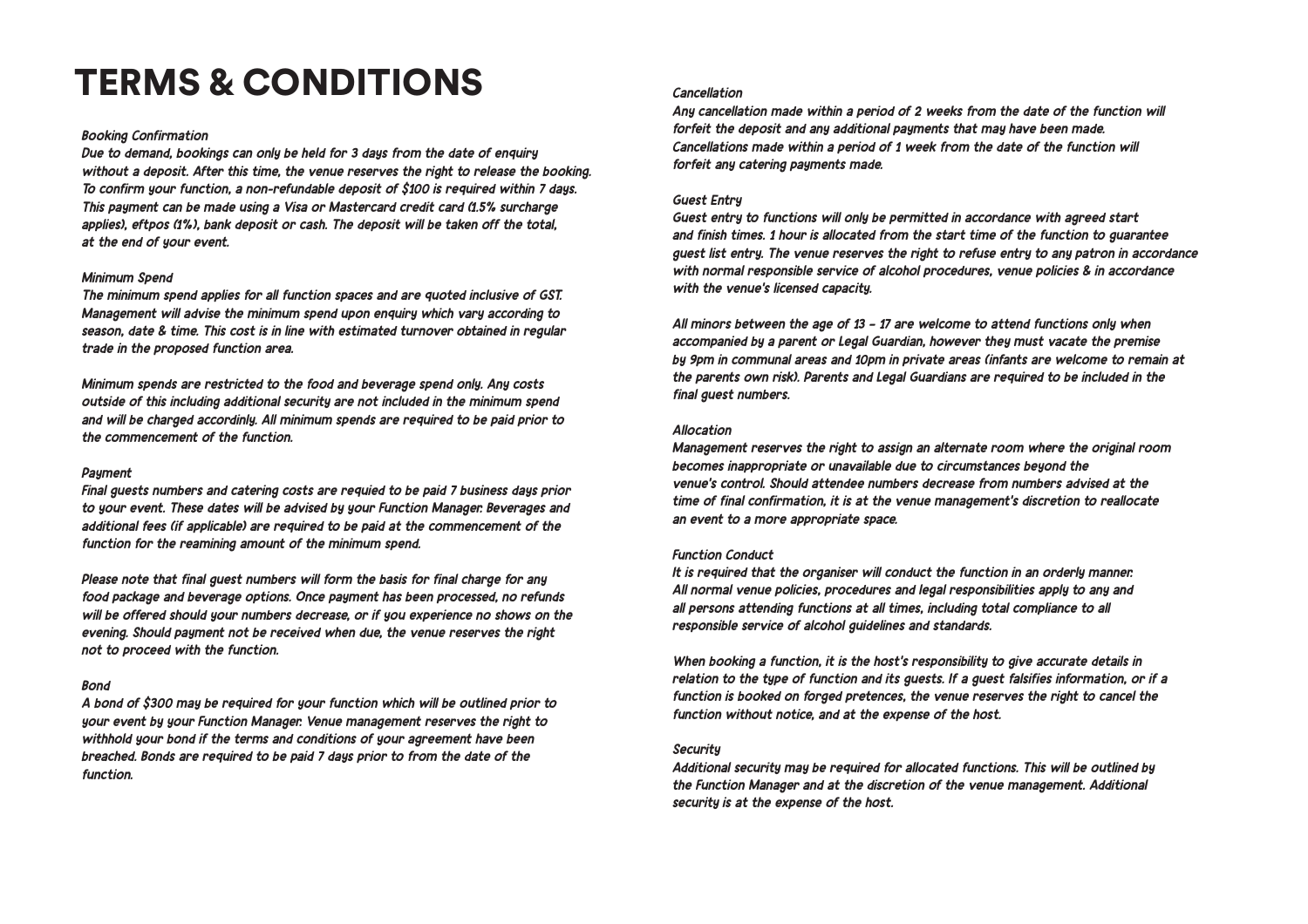# TERMS & CONDITIONS

## *Booking Confirmation*

*Due to demand, bookings can only be held for 3 days from the date of enquiry without a deposit. After this time, the venue reserves the right to release the booking. To confirm your function, a non-refundable deposit of \$100 is required within 7 days. This payment can be made using a Visa or Mastercard credit card (1.5% surcharge applies), eftpos (1%), bank deposit or cash. The deposit will be taken off the total, at the end of your event.* 

## *Minimum Spend*

*The minimum spend applies for all function spaces and are quoted inclusive of GST. Management will advise the minimum spend upon enquiry which vary according to season, date & time. This cost is in line with estimated turnover obtained in regular trade in the proposed function area.* 

*Minimum spends are restricted to the food and beverage spend only. Any costs outside of this including additional security are not included in the minimum spend and will be charged accordinly. All minimum spends are required to be paid prior to the commencement of the function.*

#### *Payment*

*Final guests numbers and catering costs are requied to be paid 7 business days prior to your event. These dates will be advised by your Function Manager. Beverages and additional fees (if applicable) are required to be paid at the commencement of the function for the reamining amount of the minimum spend.* 

*Please note that final guest numbers will form the basis for final charge for any food package and beverage options. Once payment has been processed, no refunds will be offered should your numbers decrease, or if you experience no shows on the evening. Should payment not be received when due, the venue reserves the right not to proceed with the function.*

#### *Bond*

*A bond of \$300 may be required for your function which will be outlined prior to your event by your Function Manager. Venue management reserves the right to withhold your bond if the terms and conditions of your agreement have been breached. Bonds are required to be paid 7 days prior to from the date of the function.* 

## *Cancellation*

*Any cancellation made within a period of 2 weeks from the date of the function will forfeit the deposit and any additional payments that may have been made. Cancellations made within a period of 1 week from the date of the function will forfeit any catering payments made.*

## *Guest Entry*

*Guest entry to functions will only be permitted in accordance with agreed start and finish times. 1 hour is allocated from the start time of the function to guarantee guest list entry. The venue reserves the right to refuse entry to any patron in accordance with normal responsible service of alcohol procedures, venue policies & in accordance with the venue's licensed capacity.* 

*All minors between the age of 13 – 17 are welcome to attend functions only when accompanied by a parent or Legal Guardian, however they must vacate the premise by 9pm in communal areas and 10pm in private areas (infants are welcome to remain at the parents own risk). Parents and Legal Guardians are required to be included in the final guest numbers.*

## *Allocation*

*Management reserves the right to assign an alternate room where the original room becomes inappropriate or unavailable due to circumstances beyond the venue's control. Should attendee numbers decrease from numbers advised at the time of final confirmation, it is at the venue management's discretion to reallocate an event to a more appropriate space.*

#### *Function Conduct*

*It is required that the organiser will conduct the function in an orderly manner. All normal venue policies, procedures and legal responsibilities apply to any and all persons attending functions at all times, including total compliance to all responsible service of alcohol guidelines and standards.* 

*When booking a function, it is the host's responsibility to give accurate details in relation to the type of function and its guests. If a guest falsifies information, or if a function is booked on forged pretences, the venue reserves the right to cancel the function without notice, and at the expense of the host.*

#### *Security*

*Additional security may be required for allocated functions. This will be outlined by the Function Manager and at the discretion of the venue management. Additional security is at the expense of the host.*